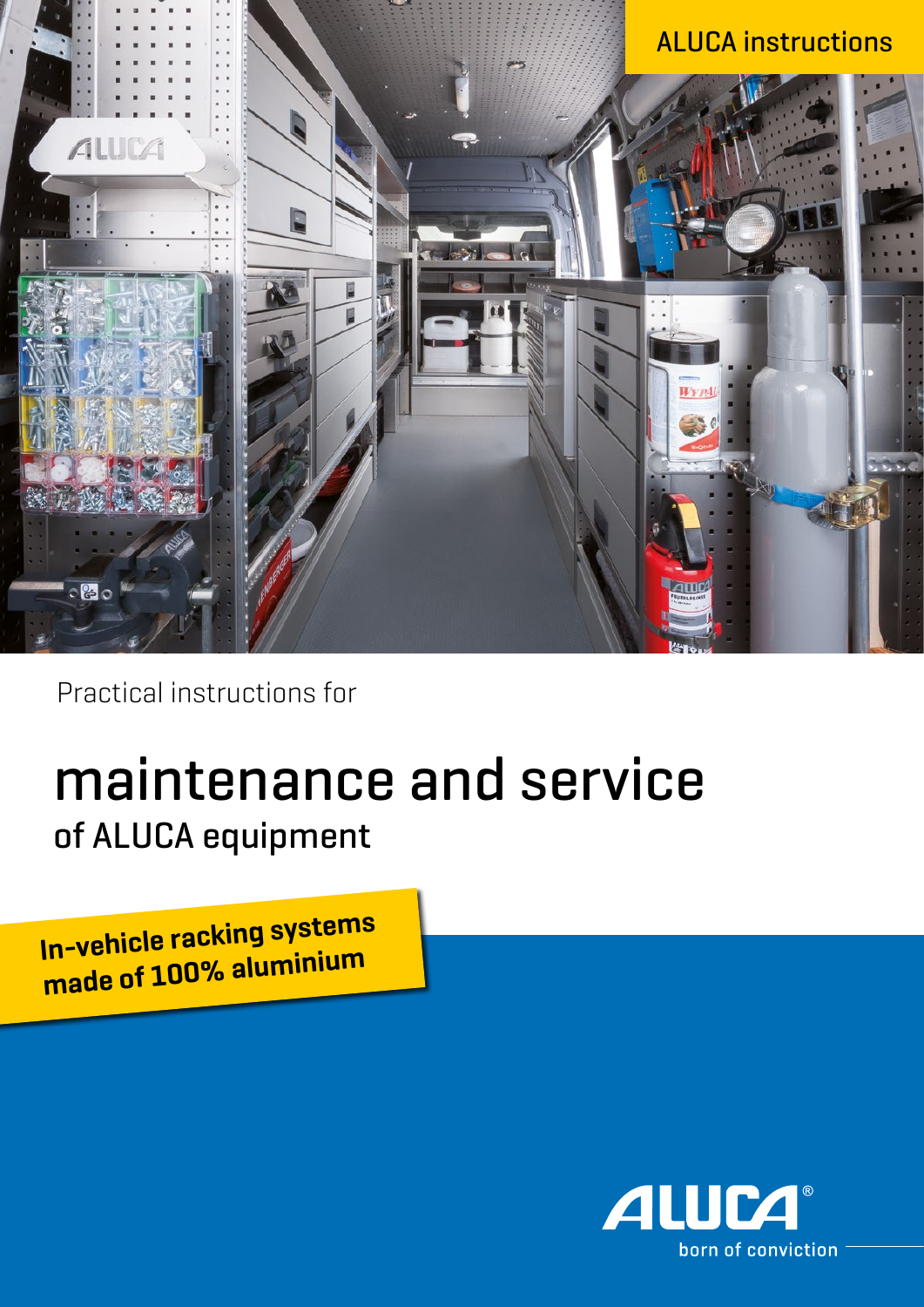

Practical instructions for

# maintenance and service of ALUCA equipment

**In-vehicle racking systems made of 100% aluminium**

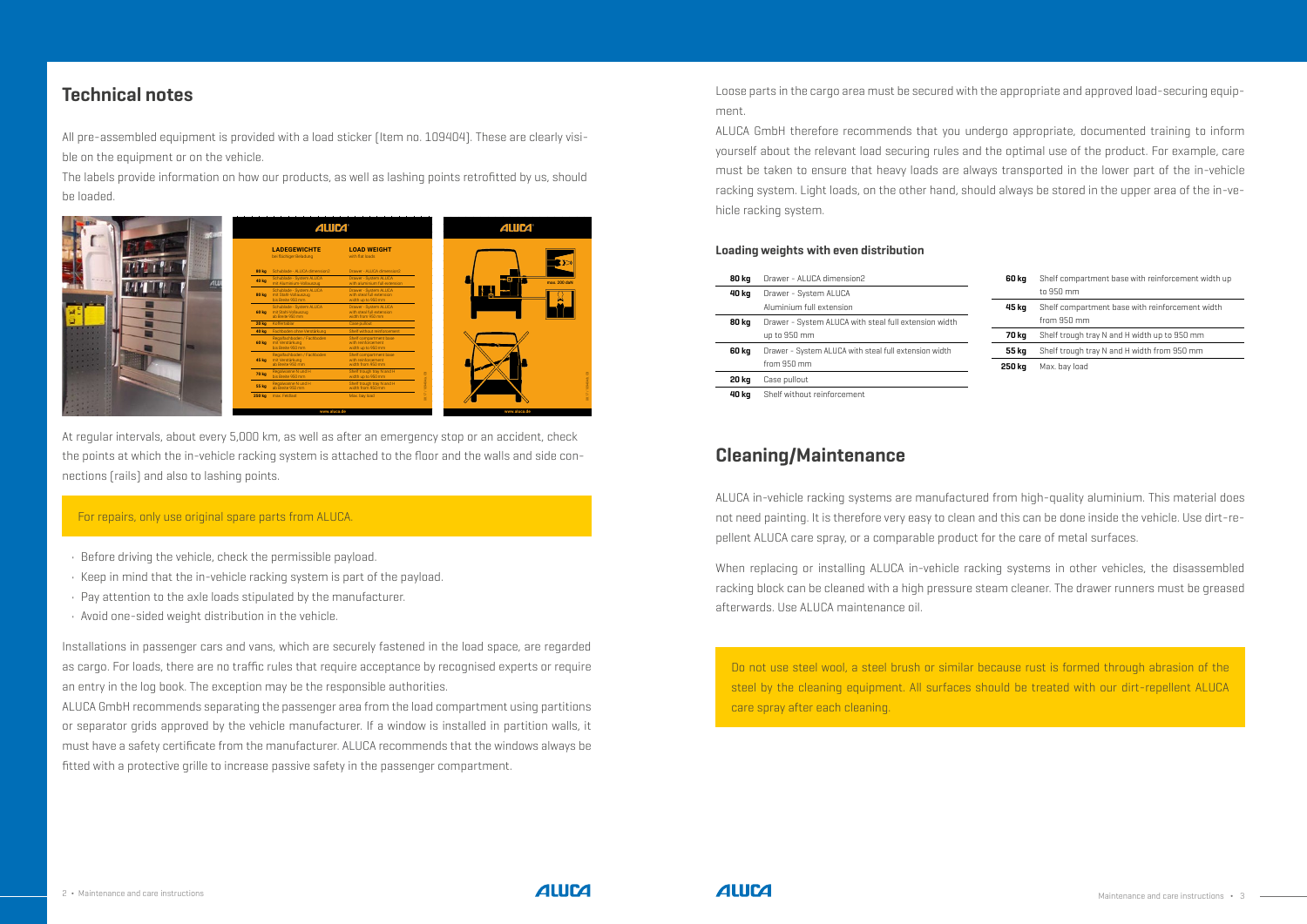## **Einbau-Lind Montageanleitung Montageanleitung Montageanleitung Montageanleitung Montageanleitung Montageanleit**

All pre-assembled equipment is provided with a load sticker (Item no. 109404). These are clearly visible on the equipment or on the vehicle. Jeder fertig montierten Einrichtung werden unsere Belastungsaufkleber(Art. Nr. ple on the equipment or on the venicle. Britain site and the equipment

The labels provide information on how our products, as well as lashing points retrofitted by us, should be loaded. Die Aufkleber geben Auskunft darüber, wie unsere Produkte belastet werden dürfen und wie Zurrech uns nach durch uns nach durch uns nach der durch uns nach gerüstet wurden, belastet wurden, be

must have a safety certificate from the manufacturer. ALUCA recommends that the windows always be fitted with a protective grille to increase passive safety in the passenger compartment. ALUCA GmbH recommends separating the passenger area from the load compartment using partitions or separator grids approved by the vehicle manufacturer. If a window is installed in partition walls, it



At regular intervals, about every 5,000 km, as well as after an emergency stop or an accident, check the points at which the in-vehicle racking system is attached to the floor and the walls and side connections (rails) and also to lashing points.

#### For repairs, only use original spare parts from ALUCA.

- Before driving the vehicle, check the permissible payload.
- Keep in mind that the in-vehicle racking system is part of the payload.
- Pay attention to the axle loads stipulated by the manufacturer.
- Avoid one-sided weight distribution in the vehicle.

Installations in passenger cars and vans, which are securely fastened in the load space, are regarded as cargo. For loads, there are no traffic rules that require acceptance by recognised experts or require an entry in the log book. The exception may be the responsible authorities.

ALUCA in-vehicle racking systems are manufactured from high-quality aluminium. This material does not need painting. It is therefore very easy to clean and this can be done inside the vehicle. Use dirt-repellent ALUCA care spray, or a comparable product for the care of metal surfaces.

When replacing or installing ALUCA in-vehicle racking systems in other vehicles, the disassembled racking block can be cleaned with a high pressure steam cleaner. The drawer runners must be greased afterwards. Use ALUCA maintenance oil.

## **Cleaning/Maintenance**

Do not use steel wool, a steel brush or similar because rust is formed through abrasion of the steel by the cleaning equipment. All surfaces should be treated with our dirt-repellent ALUCA care spray after each cleaning.



#### **Loading weights with even distribution**

| 80 kg | Drawer - ALUCA dimension2                             |
|-------|-------------------------------------------------------|
| 40 kg | Drawer - System ALUCA                                 |
|       | Aluminium full extension                              |
| 80 kg | Drawer - System ALUCA with steal full extension width |
|       | up to 950 mm                                          |
| 60 kg | Drawer - System ALUCA with steal full extension width |
|       | from $950$ mm                                         |
| 20 kg | Case pullout                                          |
| 40 kg | Shelf without reinforcement                           |

Loose parts in the cargo area must be secured with the appropriate and approved load-securing equipment.

ALUCA GmbH therefore recommends that you undergo appropriate, documented training to inform yourself about the relevant load securing rules and the optimal use of the product. For example, care must be taken to ensure that heavy loads are always transported in the lower part of the in-vehicle racking system. Light loads, on the other hand, should always be stored in the upper area of the in-vehicle racking system.

| 60 kg  | Shelf compartment base with reinforcement width up |
|--------|----------------------------------------------------|
|        | to 950 mm                                          |
| 45 kg  | Shelf compartment base with reinforcement width    |
|        | from 950 mm                                        |
| 70 kg  | Shelf trough tray N and H width up to 950 mm       |
| 55 kg  | Shelf trough tray N and H width from 950 mm        |
| 250 kg | Max. bay load                                      |